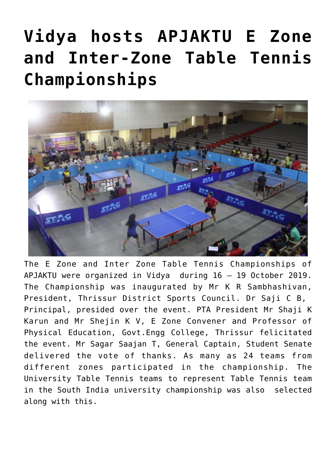# **[Vidya hosts APJAKTU E Zone](https://news.vidyaacademy.ac.in/2019/10/23/apj-aktu-e-zone-inter-zone-table-tennis-2019-20/) [and Inter-Zone Table Tennis](https://news.vidyaacademy.ac.in/2019/10/23/apj-aktu-e-zone-inter-zone-table-tennis-2019-20/) [Championships](https://news.vidyaacademy.ac.in/2019/10/23/apj-aktu-e-zone-inter-zone-table-tennis-2019-20/)**



The E Zone and Inter Zone Table Tennis Championships of APJAKTU were organized in Vidya during 16 – 19 October 2019. The Championship was inaugurated by Mr K R Sambhashivan, President, Thrissur District Sports Council. Dr Saji C B, Principal, presided over the event. PTA President Mr Shaji K Karun and Mr Shejin K V, E Zone Convener and Professor of Physical Education, Govt.Engg College, Thrissur felicitated the event. Mr Sagar Saajan T, General Captain, Student Senate delivered the vote of thanks. As many as 24 teams from different zones participated in the championship. The University Table Tennis teams to represent Table Tennis team in the South India university championship was also selected along with this.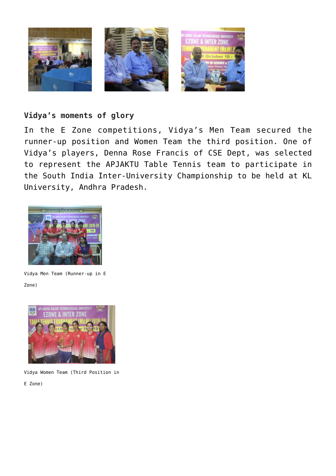

#### **Vidya's moments of glory**

In the E Zone competitions, Vidya's Men Team secured the runner-up position and Women Team the third position. One of Vidya's players, Denna Rose Francis of CSE Dept, was selected to represent the APJAKTU Table Tennis team to participate in the South India Inter-University Championship to be held at KL University, Andhra Pradesh.



Vidya Men Team (Runner-up in E Zone)



Vidya Women Team (Third Position in

E Zone)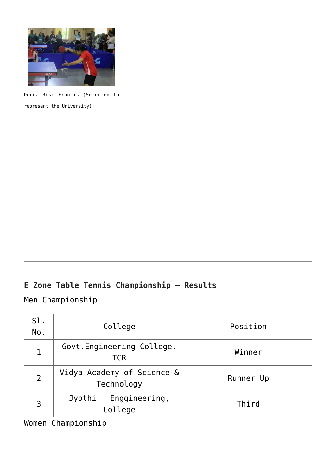

Denna Rose Francis (Selected to represent the University)

## **E Zone Table Tennis Championship – Results**

Men Championship

| Sl.<br>No. | College                                  | Position  |
|------------|------------------------------------------|-----------|
|            | Govt. Engineering College,<br><b>TCR</b> | Winner    |
|            | Vidya Academy of Science &<br>Technology | Runner Up |
|            | Enggineering,<br>Jyothi<br>College       | Third     |

Women Championship